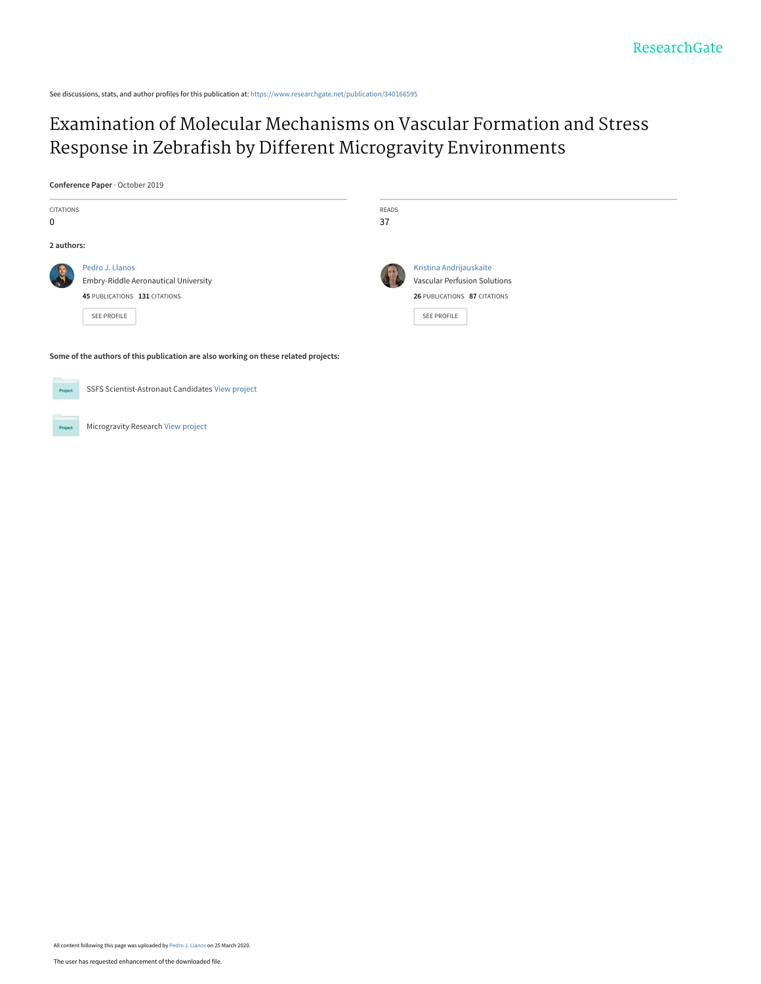See discussions, stats, and author profiles for this publication at: [https://www.researchgate.net/publication/340166595](https://www.researchgate.net/publication/340166595_Examination_of_Molecular_Mechanisms_on_Vascular_Formation_and_Stress_Response_in_Zebrafish_by_Different_Microgravity_Environments?enrichId=rgreq-45996d32b11f189c9e3c86db3d9c5b97-XXX&enrichSource=Y292ZXJQYWdlOzM0MDE2NjU5NTtBUzo4NzMwODY2ODEzNTQyNDVAMTU4NTE3MTQ5NDQzMA%3D%3D&el=1_x_2&_esc=publicationCoverPdf)

# [Examination of Molecular Mechanisms on Vascular Formation and Stress](https://www.researchgate.net/publication/340166595_Examination_of_Molecular_Mechanisms_on_Vascular_Formation_and_Stress_Response_in_Zebrafish_by_Different_Microgravity_Environments?enrichId=rgreq-45996d32b11f189c9e3c86db3d9c5b97-XXX&enrichSource=Y292ZXJQYWdlOzM0MDE2NjU5NTtBUzo4NzMwODY2ODEzNTQyNDVAMTU4NTE3MTQ5NDQzMA%3D%3D&el=1_x_3&_esc=publicationCoverPdf) Response in Zebrafish by Different Microgravity Environments

**Conference Paper** · October 2019

| CITATIONS<br>$\mathbf 0$                                                            |                                                                                                         | READS<br>37 |                                                                                                                      |  |  |  |
|-------------------------------------------------------------------------------------|---------------------------------------------------------------------------------------------------------|-------------|----------------------------------------------------------------------------------------------------------------------|--|--|--|
| 2 authors:                                                                          |                                                                                                         |             |                                                                                                                      |  |  |  |
|                                                                                     | Pedro J. Llanos<br>Embry-Riddle Aeronautical University<br>45 PUBLICATIONS 131 CITATIONS<br>SEE PROFILE |             | Kristina Andrijauskaite<br><b>Vascular Perfusion Solutions</b><br>26 PUBLICATIONS 87 CITATIONS<br><b>SEE PROFILE</b> |  |  |  |
| Some of the authors of this publication are also working on these related projects: |                                                                                                         |             |                                                                                                                      |  |  |  |
| Project                                                                             | SSFS Scientist-Astronaut Candidates View project                                                        |             |                                                                                                                      |  |  |  |

Microgravity Research [View project](https://www.researchgate.net/project/Microgravity-Research-3?enrichId=rgreq-45996d32b11f189c9e3c86db3d9c5b97-XXX&enrichSource=Y292ZXJQYWdlOzM0MDE2NjU5NTtBUzo4NzMwODY2ODEzNTQyNDVAMTU4NTE3MTQ5NDQzMA%3D%3D&el=1_x_9&_esc=publicationCoverPdf) Project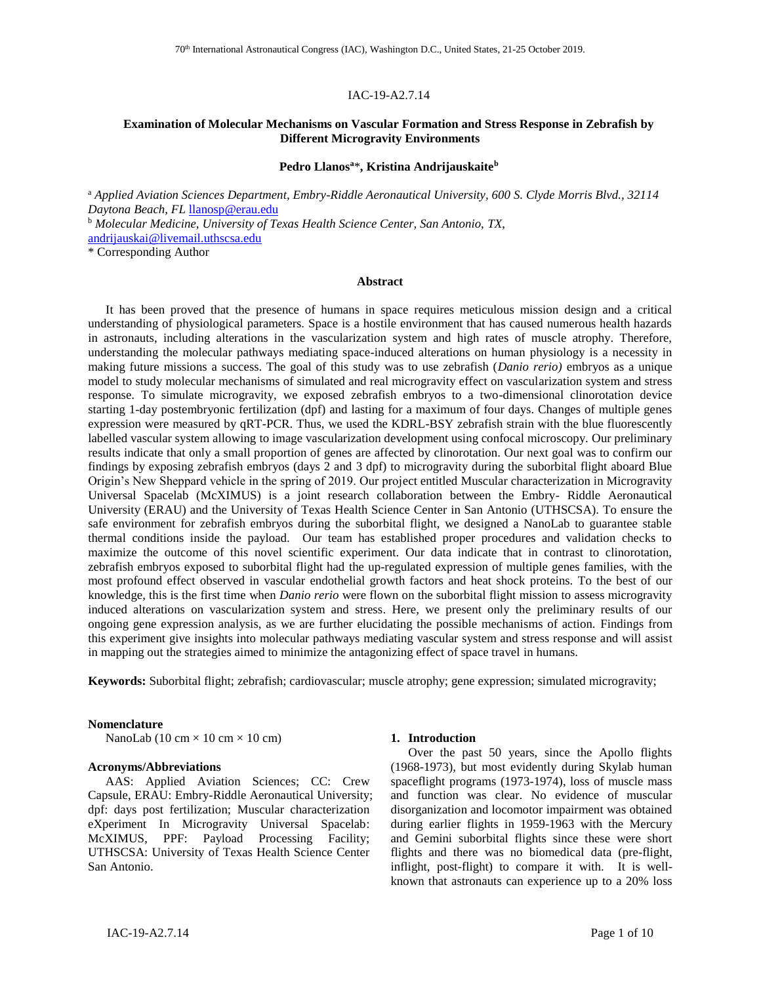## IAC-19-A2.7.14

## **Examination of Molecular Mechanisms on Vascular Formation and Stress Response in Zebrafish by Different Microgravity Environments**

#### **Pedro Llanos<sup>a</sup>**\***, Kristina Andrijauskaite<sup>b</sup>**

<sup>a</sup> *Applied Aviation Sciences Department, Embry-Riddle Aeronautical University, 600 S. Clyde Morris Blvd., 32114 Daytona Beach, FL* [llanosp@erau.edu](mailto:llanosp@erau.edu)

<sup>b</sup> *Molecular Medicine, University of Texas Health Science Center, San Antonio, TX*, [andrijauskai@livemail.uthscsa.edu](mailto:andrijauskai@livemail.uthscsa.edu)

\* Corresponding Author

#### **Abstract**

It has been proved that the presence of humans in space requires meticulous mission design and a critical understanding of physiological parameters. Space is a hostile environment that has caused numerous health hazards in astronauts, including alterations in the vascularization system and high rates of muscle atrophy. Therefore, understanding the molecular pathways mediating space-induced alterations on human physiology is a necessity in making future missions a success. The goal of this study was to use zebrafish (*Danio rerio)* embryos as a unique model to study molecular mechanisms of simulated and real microgravity effect on vascularization system and stress response. To simulate microgravity, we exposed zebrafish embryos to a two-dimensional clinorotation device starting 1-day postembryonic fertilization (dpf) and lasting for a maximum of four days. Changes of multiple genes expression were measured by qRT-PCR. Thus, we used the KDRL-BSY zebrafish strain with the blue fluorescently labelled vascular system allowing to image vascularization development using confocal microscopy. Our preliminary results indicate that only a small proportion of genes are affected by clinorotation. Our next goal was to confirm our findings by exposing zebrafish embryos (days 2 and 3 dpf) to microgravity during the suborbital flight aboard Blue Origin's New Sheppard vehicle in the spring of 2019. Our project entitled Muscular characterization in Microgravity Universal Spacelab (McXIMUS) is a joint research collaboration between the Embry- Riddle Aeronautical University (ERAU) and the University of Texas Health Science Center in San Antonio (UTHSCSA). To ensure the safe environment for zebrafish embryos during the suborbital flight, we designed a NanoLab to guarantee stable thermal conditions inside the payload. Our team has established proper procedures and validation checks to maximize the outcome of this novel scientific experiment. Our data indicate that in contrast to clinorotation, zebrafish embryos exposed to suborbital flight had the up-regulated expression of multiple genes families, with the most profound effect observed in vascular endothelial growth factors and heat shock proteins. To the best of our knowledge, this is the first time when *Danio rerio* were flown on the suborbital flight mission to assess microgravity induced alterations on vascularization system and stress. Here, we present only the preliminary results of our ongoing gene expression analysis, as we are further elucidating the possible mechanisms of action. Findings from this experiment give insights into molecular pathways mediating vascular system and stress response and will assist in mapping out the strategies aimed to minimize the antagonizing effect of space travel in humans.

**Keywords:** Suborbital flight; zebrafish; cardiovascular; muscle atrophy; gene expression; simulated microgravity;

#### **Nomenclature**

NanoLab (10 cm  $\times$  10 cm  $\times$  10 cm)

#### **Acronyms/Abbreviations**

AAS: Applied Aviation Sciences; CC: Crew Capsule, ERAU: Embry-Riddle Aeronautical University; dpf: days post fertilization; Muscular characterization eXperiment In Microgravity Universal Spacelab: McXIMUS, PPF: Payload Processing Facility; UTHSCSA: University of Texas Health Science Center San Antonio.

### **1. Introduction**

Over the past 50 years, since the Apollo flights (1968-1973), but most evidently during Skylab human spaceflight programs (1973-1974), loss of muscle mass and function was clear. No evidence of muscular disorganization and locomotor impairment was obtained during earlier flights in 1959-1963 with the Mercury and Gemini suborbital flights since these were short flights and there was no biomedical data (pre-flight, inflight, post-flight) to compare it with. It is wellknown that astronauts can experience up to a 20% loss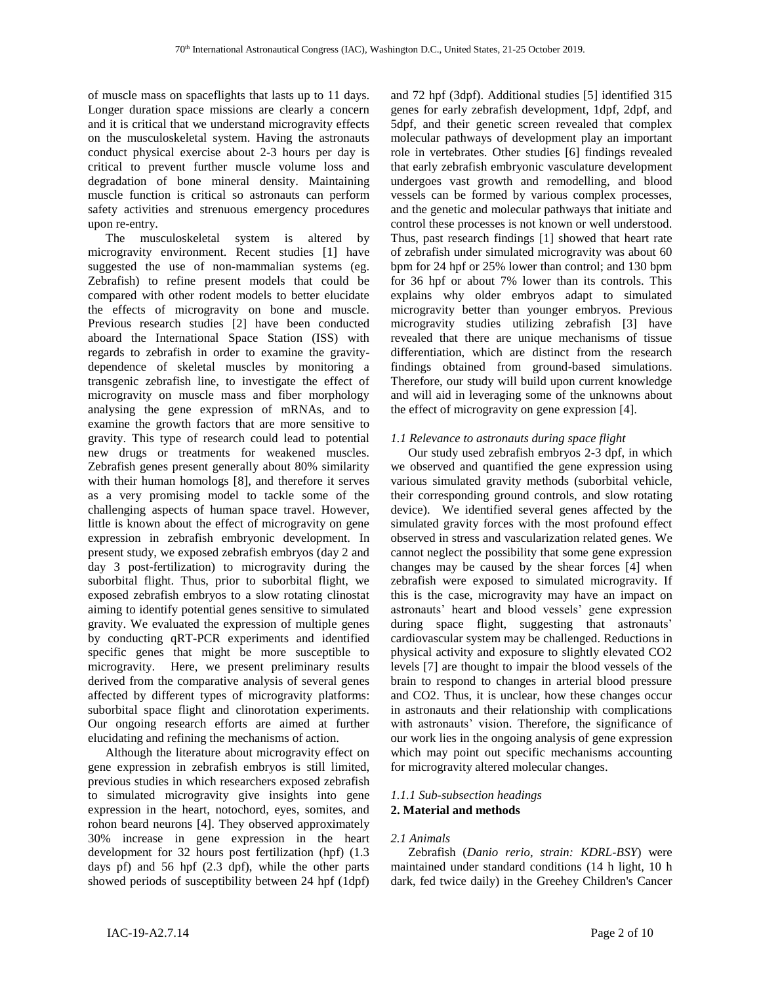of muscle mass on spaceflights that lasts up to 11 days. Longer duration space missions are clearly a concern and it is critical that we understand microgravity effects on the musculoskeletal system. Having the astronauts conduct physical exercise about 2-3 hours per day is critical to prevent further muscle volume loss and degradation of bone mineral density. Maintaining muscle function is critical so astronauts can perform safety activities and strenuous emergency procedures upon re-entry.

The musculoskeletal system is altered by microgravity environment. Recent studies [1] have suggested the use of non-mammalian systems (eg. Zebrafish) to refine present models that could be compared with other rodent models to better elucidate the effects of microgravity on bone and muscle. Previous research studies [2] have been conducted aboard the International Space Station (ISS) with regards to zebrafish in order to examine the gravitydependence of skeletal muscles by monitoring a transgenic zebrafish line, to investigate the effect of microgravity on muscle mass and fiber morphology analysing the gene expression of mRNAs, and to examine the growth factors that are more sensitive to gravity. This type of research could lead to potential new drugs or treatments for weakened muscles. Zebrafish genes present generally about 80% similarity with their human homologs [8], and therefore it serves as a very promising model to tackle some of the challenging aspects of human space travel. However, little is known about the effect of microgravity on gene expression in zebrafish embryonic development. In present study, we exposed zebrafish embryos (day 2 and day 3 post-fertilization) to microgravity during the suborbital flight. Thus, prior to suborbital flight, we exposed zebrafish embryos to a slow rotating clinostat aiming to identify potential genes sensitive to simulated gravity. We evaluated the expression of multiple genes by conducting qRT-PCR experiments and identified specific genes that might be more susceptible to microgravity. Here, we present preliminary results derived from the comparative analysis of several genes affected by different types of microgravity platforms: suborbital space flight and clinorotation experiments. Our ongoing research efforts are aimed at further elucidating and refining the mechanisms of action.

Although the literature about microgravity effect on gene expression in zebrafish embryos is still limited, previous studies in which researchers exposed zebrafish to simulated microgravity give insights into gene expression in the heart, notochord, eyes, somites, and rohon beard neurons [4]. They observed approximately 30% increase in gene expression in the heart development for 32 hours post fertilization (hpf) (1.3 days pf) and 56 hpf (2.3 dpf), while the other parts showed periods of susceptibility between 24 hpf (1dpf)

and 72 hpf (3dpf). Additional studies [5] identified 315 genes for early zebrafish development, 1dpf, 2dpf, and 5dpf, and their genetic screen revealed that complex molecular pathways of development play an important role in vertebrates. Other studies [6] findings revealed that early zebrafish embryonic vasculature development undergoes vast growth and remodelling, and blood vessels can be formed by various complex processes, and the genetic and molecular pathways that initiate and control these processes is not known or well understood. Thus, past research findings [1] showed that heart rate of zebrafish under simulated microgravity was about 60 bpm for 24 hpf or 25% lower than control; and 130 bpm for 36 hpf or about 7% lower than its controls. This explains why older embryos adapt to simulated microgravity better than younger embryos. Previous microgravity studies utilizing zebrafish [3] have revealed that there are unique mechanisms of tissue differentiation, which are distinct from the research findings obtained from ground-based simulations. Therefore, our study will build upon current knowledge and will aid in leveraging some of the unknowns about the effect of microgravity on gene expression [4].

## *1.1 Relevance to astronauts during space flight*

Our study used zebrafish embryos 2-3 dpf, in which we observed and quantified the gene expression using various simulated gravity methods (suborbital vehicle, their corresponding ground controls, and slow rotating device). We identified several genes affected by the simulated gravity forces with the most profound effect observed in stress and vascularization related genes. We cannot neglect the possibility that some gene expression changes may be caused by the shear forces [4] when zebrafish were exposed to simulated microgravity. If this is the case, microgravity may have an impact on astronauts' heart and blood vessels' gene expression during space flight, suggesting that astronauts' cardiovascular system may be challenged. Reductions in physical activity and exposure to slightly elevated CO2 levels [7] are thought to impair the blood vessels of the brain to respond to changes in arterial blood pressure and CO2. Thus, it is unclear, how these changes occur in astronauts and their relationship with complications with astronauts' vision. Therefore, the significance of our work lies in the ongoing analysis of gene expression which may point out specific mechanisms accounting for microgravity altered molecular changes.

# *1.1.1 Sub-subsection headings* **2. Material and methods**

## *2.1 Animals*

Zebrafish (*Danio rerio, strain: KDRL-BSY*) were maintained under standard conditions (14 h light, 10 h dark, fed twice daily) in the Greehey Children's Cancer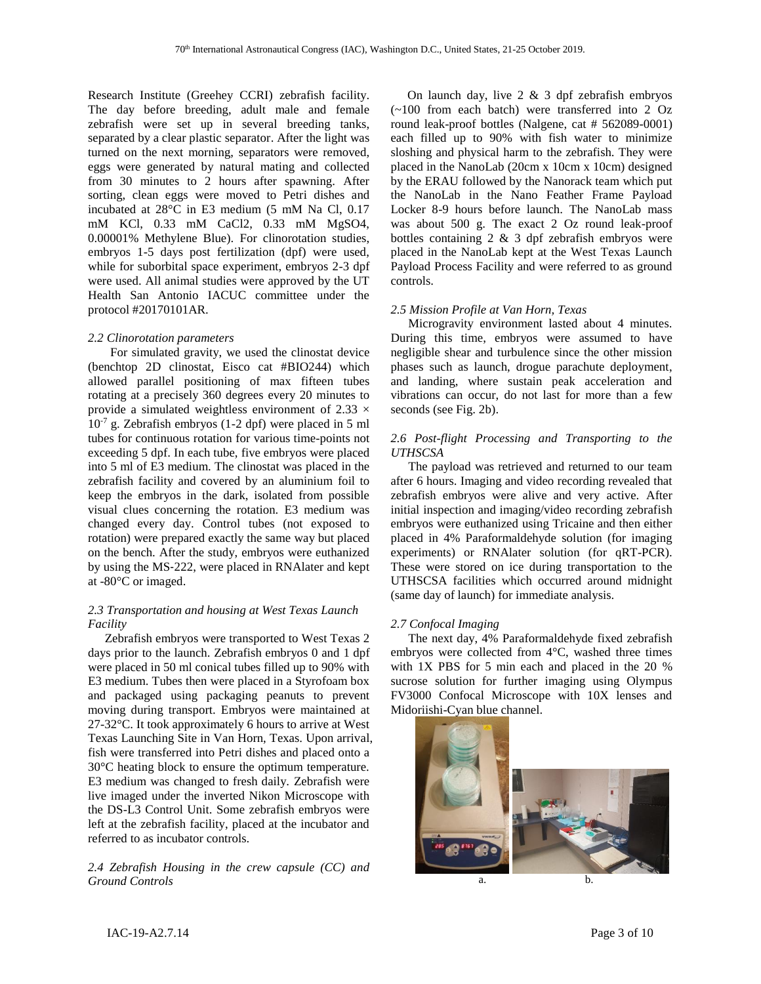Research Institute (Greehey CCRI) zebrafish facility. The day before breeding, adult male and female zebrafish were set up in several breeding tanks, separated by a clear plastic separator. After the light was turned on the next morning, separators were removed, eggs were generated by natural mating and collected from 30 minutes to 2 hours after spawning. After sorting, clean eggs were moved to Petri dishes and incubated at 28°C in E3 medium (5 mM Na Cl, 0.17 mM KCl, 0.33 mM CaCl2, 0.33 mM MgSO4, 0.00001% Methylene Blue). For clinorotation studies, embryos 1-5 days post fertilization (dpf) were used, while for suborbital space experiment, embryos 2-3 dpf were used. All animal studies were approved by the UT Health San Antonio IACUC committee under the protocol #20170101AR.

## *2.2 Clinorotation parameters*

For simulated gravity, we used the clinostat device (benchtop 2D clinostat, Eisco cat #BIO244) which allowed parallel positioning of max fifteen tubes rotating at a precisely 360 degrees every 20 minutes to provide a simulated weightless environment of 2.33  $\times$  $10^{-7}$  g. Zebrafish embryos (1-2 dpf) were placed in 5 ml tubes for continuous rotation for various time-points not exceeding 5 dpf. In each tube, five embryos were placed into 5 ml of E3 medium. The clinostat was placed in the zebrafish facility and covered by an aluminium foil to keep the embryos in the dark, isolated from possible visual clues concerning the rotation. E3 medium was changed every day. Control tubes (not exposed to rotation) were prepared exactly the same way but placed on the bench. After the study, embryos were euthanized by using the MS‐222, were placed in RNAlater and kept at -80°C or imaged.

# *2.3 Transportation and housing at West Texas Launch Facility*

Zebrafish embryos were transported to West Texas 2 days prior to the launch. Zebrafish embryos 0 and 1 dpf were placed in 50 ml conical tubes filled up to 90% with E3 medium. Tubes then were placed in a Styrofoam box and packaged using packaging peanuts to prevent moving during transport. Embryos were maintained at 27-32°C. It took approximately 6 hours to arrive at West Texas Launching Site in Van Horn, Texas. Upon arrival, fish were transferred into Petri dishes and placed onto a 30°C heating block to ensure the optimum temperature. E3 medium was changed to fresh daily. Zebrafish were live imaged under the inverted Nikon Microscope with the DS-L3 Control Unit. Some zebrafish embryos were left at the zebrafish facility, placed at the incubator and referred to as incubator controls.

## *2.4 Zebrafish Housing in the crew capsule (CC) and Ground Controls*

On launch day, live  $2 \& 3$  dpf zebrafish embryos (~100 from each batch) were transferred into 2 Oz round leak-proof bottles (Nalgene, cat # 562089-0001) each filled up to 90% with fish water to minimize sloshing and physical harm to the zebrafish. They were placed in the NanoLab (20cm x 10cm x 10cm) designed by the ERAU followed by the Nanorack team which put the NanoLab in the Nano Feather Frame Payload Locker 8-9 hours before launch. The NanoLab mass was about 500 g. The exact 2 Oz round leak-proof bottles containing 2 & 3 dpf zebrafish embryos were placed in the NanoLab kept at the West Texas Launch Payload Process Facility and were referred to as ground controls.

## *2.5 Mission Profile at Van Horn, Texas*

Microgravity environment lasted about 4 minutes. During this time, embryos were assumed to have negligible shear and turbulence since the other mission phases such as launch, drogue parachute deployment, and landing, where sustain peak acceleration and vibrations can occur, do not last for more than a few seconds (see Fig. 2b).

## *2.6 Post-flight Processing and Transporting to the UTHSCSA*

The payload was retrieved and returned to our team after 6 hours. Imaging and video recording revealed that zebrafish embryos were alive and very active. After initial inspection and imaging/video recording zebrafish embryos were euthanized using Tricaine and then either placed in 4% Paraformaldehyde solution (for imaging experiments) or RNAlater solution (for qRT-PCR). These were stored on ice during transportation to the UTHSCSA facilities which occurred around midnight (same day of launch) for immediate analysis.

## *2.7 Confocal Imaging*

The next day, 4% Paraformaldehyde fixed zebrafish embryos were collected from 4°C, washed three times with 1X PBS for 5 min each and placed in the 20 % sucrose solution for further imaging using Olympus FV3000 Confocal Microscope with 10X lenses and Midoriishi-Cyan blue channel.

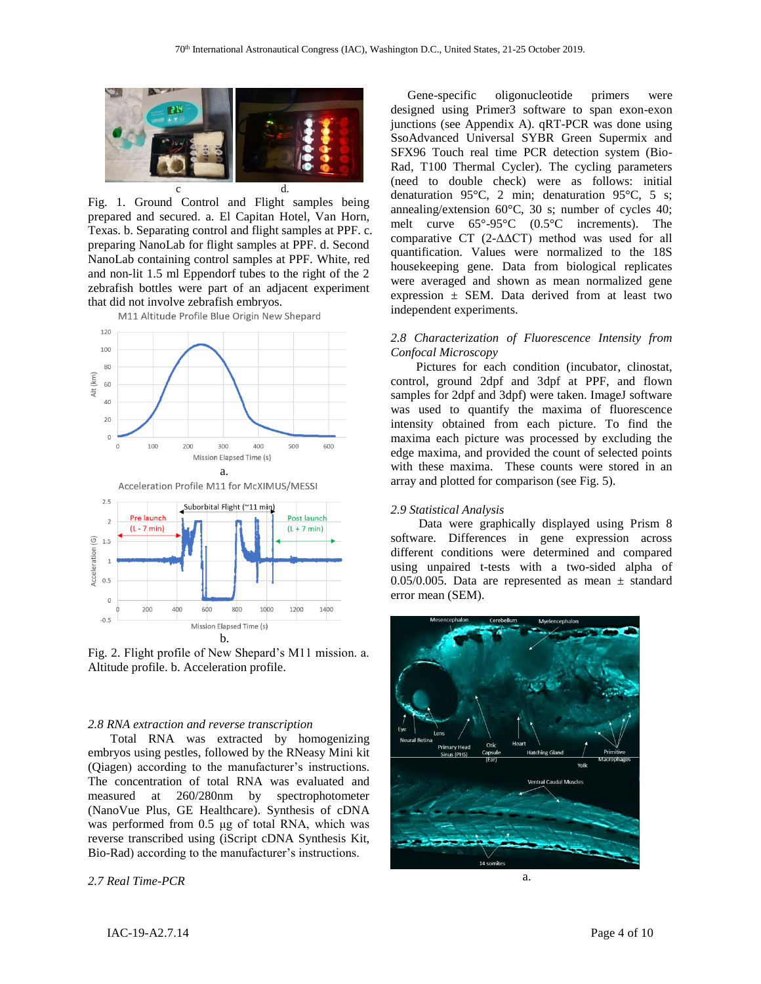

Fig. 1. Ground Control and Flight samples being prepared and secured. a. El Capitan Hotel, Van Horn, Texas. b. Separating control and flight samples at PPF. c. preparing NanoLab for flight samples at PPF. d. Second NanoLab containing control samples at PPF. White, red and non-lit 1.5 ml Eppendorf tubes to the right of the 2 zebrafish bottles were part of an adjacent experiment that did not involve zebrafish embryos.<br>M11 Altitude Profile Blue Origin New Shepard



Fig. 2. Flight profile of New Shepard's M11 mission. a. Altitude profile. b. Acceleration profile.

b.

Mission Elapsed Time (s)

800

1000

1200

1400

600

#### *2.8 RNA extraction and reverse transcription*

Total RNA was extracted by homogenizing embryos using pestles, followed by the RNeasy Mini kit (Qiagen) according to the manufacturer's instructions. The concentration of total RNA was evaluated and measured at 260/280nm by spectrophotometer (NanoVue Plus, GE Healthcare). Synthesis of cDNA was performed from 0.5 μg of total RNA, which was reverse transcribed using (iScript cDNA Synthesis Kit, Bio-Rad) according to the manufacturer's instructions.

## *2.7 Real Time-PCR*

200

 $-0.5$ 

400

Gene-specific oligonucleotide primers were designed using Primer3 software to span exon-exon junctions (see Appendix A). qRT-PCR was done using SsoAdvanced Universal SYBR Green Supermix and SFX96 Touch real time PCR detection system (Bio-Rad, T100 Thermal Cycler). The cycling parameters (need to double check) were as follows: initial denaturation 95°C, 2 min; denaturation 95°C, 5 s; annealing/extension 60°C, 30 s; number of cycles 40; melt curve 65°-95°C (0.5°C increments). The comparative CT (2-ΔΔCT) method was used for all quantification. Values were normalized to the 18S housekeeping gene. Data from biological replicates were averaged and shown as mean normalized gene expression  $\pm$  SEM. Data derived from at least two independent experiments.

## *2.8 Characterization of Fluorescence Intensity from Confocal Microscopy*

Pictures for each condition (incubator, clinostat, control, ground 2dpf and 3dpf at PPF, and flown samples for 2dpf and 3dpf) were taken. ImageJ software was used to quantify the maxima of fluorescence intensity obtained from each picture. To find the maxima each picture was processed by excluding the edge maxima, and provided the count of selected points with these maxima. These counts were stored in an array and plotted for comparison (see Fig. 5).

#### *2.9 Statistical Analysis*

Data were graphically displayed using Prism 8 software. Differences in gene expression across different conditions were determined and compared using unpaired t-tests with a two-sided alpha of 0.05/0.005. Data are represented as mean  $\pm$  standard error mean (SEM).

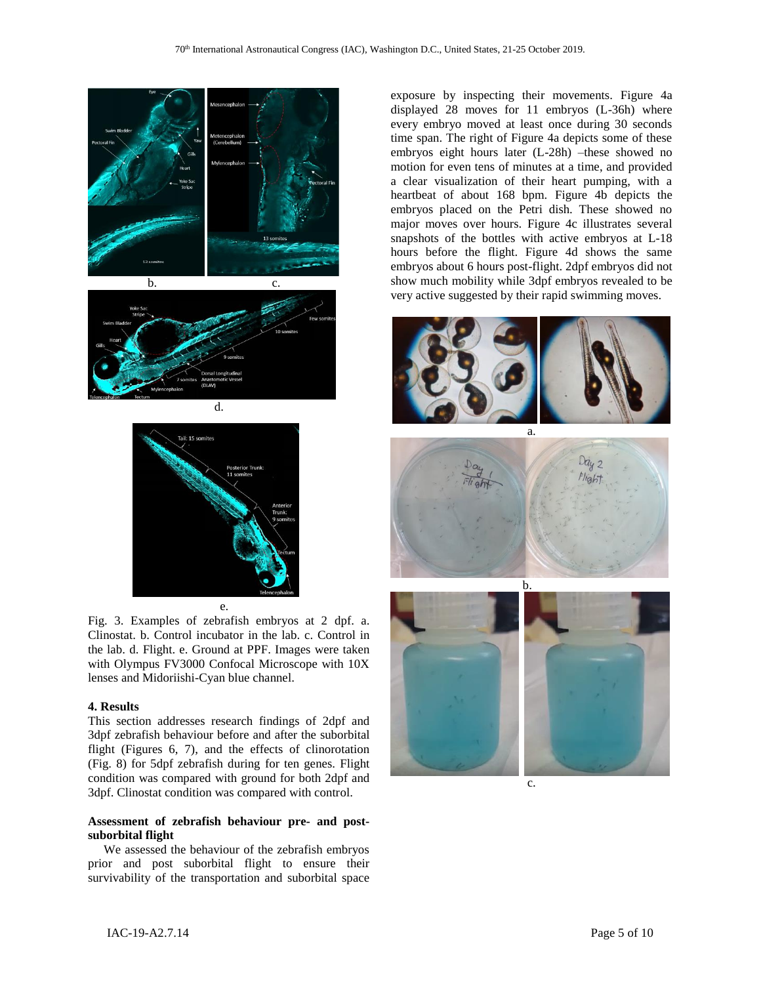

Fig. 3. Examples of zebrafish embryos at 2 dpf. a. Clinostat. b. Control incubator in the lab. c. Control in the lab. d. Flight. e. Ground at PPF. Images were taken with Olympus FV3000 Confocal Microscope with 10X

lenses and Midoriishi-Cyan blue channel.

## **4. Results**

This section addresses research findings of 2dpf and 3dpf zebrafish behaviour before and after the suborbital flight (Figures 6, 7), and the effects of clinorotation (Fig. 8) for 5dpf zebrafish during for ten genes. Flight condition was compared with ground for both 2dpf and 3dpf. Clinostat condition was compared with control.

## **Assessment of zebrafish behaviour pre- and postsuborbital flight**

 We assessed the behaviour of the zebrafish embryos prior and post suborbital flight to ensure their survivability of the transportation and suborbital space

exposure by inspecting their movements. Figure 4a displayed 28 moves for 11 embryos (L-36h) where every embryo moved at least once during 30 seconds time span. The right of Figure 4a depicts some of these embryos eight hours later (L-28h) –these showed no motion for even tens of minutes at a time, and provided a clear visualization of their heart pumping, with a heartbeat of about 168 bpm. Figure 4b depicts the embryos placed on the Petri dish. These showed no major moves over hours. Figure 4c illustrates several snapshots of the bottles with active embryos at L-18 hours before the flight. Figure 4d shows the same embryos about 6 hours post-flight. 2dpf embryos did not show much mobility while 3dpf embryos revealed to be very active suggested by their rapid swimming moves.







c.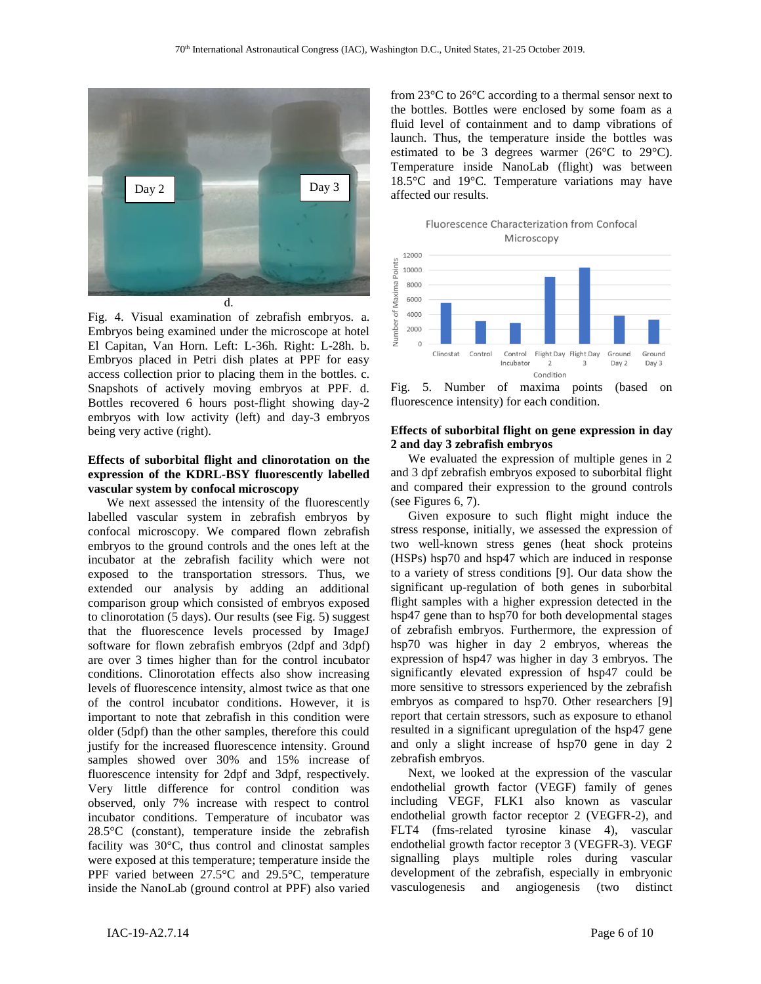

Fig. 4. Visual examination of zebrafish embryos. a. Embryos being examined under the microscope at hotel El Capitan, Van Horn. Left: L-36h. Right: L-28h. b. Embryos placed in Petri dish plates at PPF for easy access collection prior to placing them in the bottles. c. Snapshots of actively moving embryos at PPF. d. Bottles recovered 6 hours post-flight showing day-2 embryos with low activity (left) and day-3 embryos being very active (right).

## **Effects of suborbital flight and clinorotation on the expression of the KDRL-BSY fluorescently labelled vascular system by confocal microscopy**

 We next assessed the intensity of the fluorescently labelled vascular system in zebrafish embryos by confocal microscopy. We compared flown zebrafish embryos to the ground controls and the ones left at the incubator at the zebrafish facility which were not exposed to the transportation stressors. Thus, we extended our analysis by adding an additional comparison group which consisted of embryos exposed to clinorotation (5 days). Our results (see Fig. 5) suggest that the fluorescence levels processed by ImageJ software for flown zebrafish embryos (2dpf and 3dpf) are over 3 times higher than for the control incubator conditions. Clinorotation effects also show increasing levels of fluorescence intensity, almost twice as that one of the control incubator conditions. However, it is important to note that zebrafish in this condition were older (5dpf) than the other samples, therefore this could justify for the increased fluorescence intensity. Ground samples showed over 30% and 15% increase of fluorescence intensity for 2dpf and 3dpf, respectively. Very little difference for control condition was observed, only 7% increase with respect to control incubator conditions. Temperature of incubator was 28.5°C (constant), temperature inside the zebrafish facility was 30°C, thus control and clinostat samples were exposed at this temperature; temperature inside the PPF varied between 27.5°C and 29.5°C, temperature inside the NanoLab (ground control at PPF) also varied from 23°C to 26°C according to a thermal sensor next to the bottles. Bottles were enclosed by some foam as a fluid level of containment and to damp vibrations of launch. Thus, the temperature inside the bottles was estimated to be 3 degrees warmer (26°C to 29°C). Temperature inside NanoLab (flight) was between 18.5°C and 19°C. Temperature variations may have affected our results.

Fluorescence Characterization from Confocal Microscopy



Fig. 5. Number of maxima points (based on fluorescence intensity) for each condition.

# **Effects of suborbital flight on gene expression in day 2 and day 3 zebrafish embryos**

We evaluated the expression of multiple genes in 2 and 3 dpf zebrafish embryos exposed to suborbital flight and compared their expression to the ground controls (see Figures 6, 7).

Given exposure to such flight might induce the stress response, initially, we assessed the expression of two well-known stress genes (heat shock proteins (HSPs) hsp70 and hsp47 which are induced in response to a variety of stress conditions [9]. Our data show the significant up-regulation of both genes in suborbital flight samples with a higher expression detected in the hsp47 gene than to hsp70 for both developmental stages of zebrafish embryos. Furthermore, the expression of hsp70 was higher in day 2 embryos, whereas the expression of hsp47 was higher in day 3 embryos. The significantly elevated expression of hsp47 could be more sensitive to stressors experienced by the zebrafish embryos as compared to hsp70. Other researchers [9] report that certain stressors, such as exposure to ethanol resulted in a significant upregulation of the hsp47 gene and only a slight increase of hsp70 gene in day 2 zebrafish embryos.

Next, we looked at the expression of the vascular endothelial growth factor (VEGF) family of genes including VEGF, FLK1 also known as vascular endothelial growth factor receptor 2 (VEGFR-2), and FLT4 (fms-related tyrosine kinase 4), vascular endothelial growth factor receptor 3 (VEGFR-3). VEGF signalling plays multiple roles during vascular development of the zebrafish, especially in embryonic vasculogenesis and angiogenesis (two distinct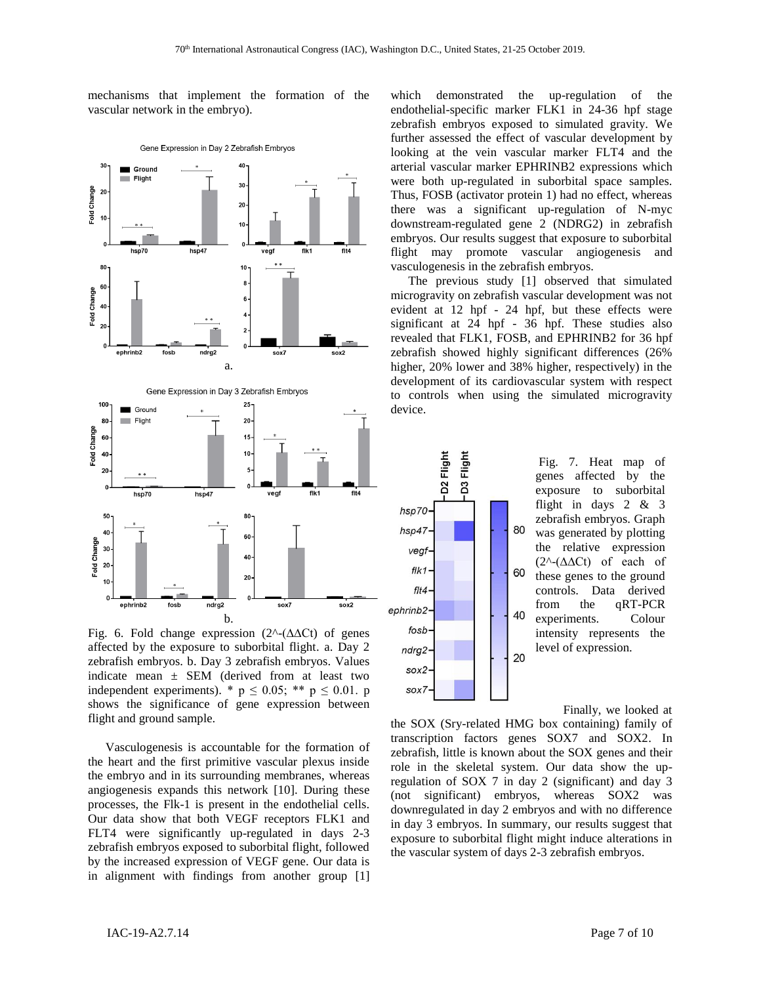mechanisms that implement the formation of the vascular network in the embryo).



Fig. 6. Fold change expression (2^-(∆∆Ct) of genes affected by the exposure to suborbital flight. a. Day 2 zebrafish embryos. b. Day 3 zebrafish embryos. Values indicate mean  $\pm$  SEM (derived from at least two independent experiments). \*  $p \le 0.05$ ; \*\*  $p \le 0.01$ . p shows the significance of gene expression between flight and ground sample.

Vasculogenesis is accountable for the formation of the heart and the first primitive vascular plexus inside the embryo and in its surrounding membranes, whereas angiogenesis expands this network [10]. During these processes, the Flk-1 is present in the endothelial cells. Our data show that both VEGF receptors FLK1 and FLT4 were significantly up-regulated in days 2-3 zebrafish embryos exposed to suborbital flight, followed by the increased expression of VEGF gene. Our data is in alignment with findings from another group [1] which demonstrated the up-regulation of the endothelial-specific marker FLK1 in 24-36 hpf stage zebrafish embryos exposed to simulated gravity. We further assessed the effect of vascular development by looking at the vein vascular marker FLT4 and the arterial vascular marker EPHRINB2 expressions which were both up-regulated in suborbital space samples. Thus, FOSB (activator protein 1) had no effect, whereas there was a significant up-regulation of N-myc downstream-regulated gene 2 (NDRG2) in zebrafish embryos. Our results suggest that exposure to suborbital flight may promote vascular angiogenesis and vasculogenesis in the zebrafish embryos.

The previous study [1] observed that simulated microgravity on zebrafish vascular development was not evident at 12 hpf - 24 hpf, but these effects were significant at 24 hpf - 36 hpf. These studies also revealed that FLK1, FOSB, and EPHRINB2 for 36 hpf zebrafish showed highly significant differences (26% higher, 20% lower and 38% higher, respectively) in the development of its cardiovascular system with respect to controls when using the simulated microgravity device.



genes affected by the exposure to suborbital flight in days 2 & 3 zebrafish embryos. Graph was generated by plotting the relative expression (2^-(∆∆Ct) of each of these genes to the ground controls. Data derived from the qRT-PCR experiments. Colour intensity represents the level of expression.

Finally, we looked at

the SOX (Sry-related HMG box containing) family of transcription factors genes SOX7 and SOX2. In zebrafish, little is known about the SOX genes and their role in the skeletal system. Our data show the upregulation of SOX 7 in day 2 (significant) and day 3 (not significant) embryos, whereas SOX2 was downregulated in day 2 embryos and with no difference in day 3 embryos. In summary, our results suggest that exposure to suborbital flight might induce alterations in the vascular system of days 2-3 zebrafish embryos.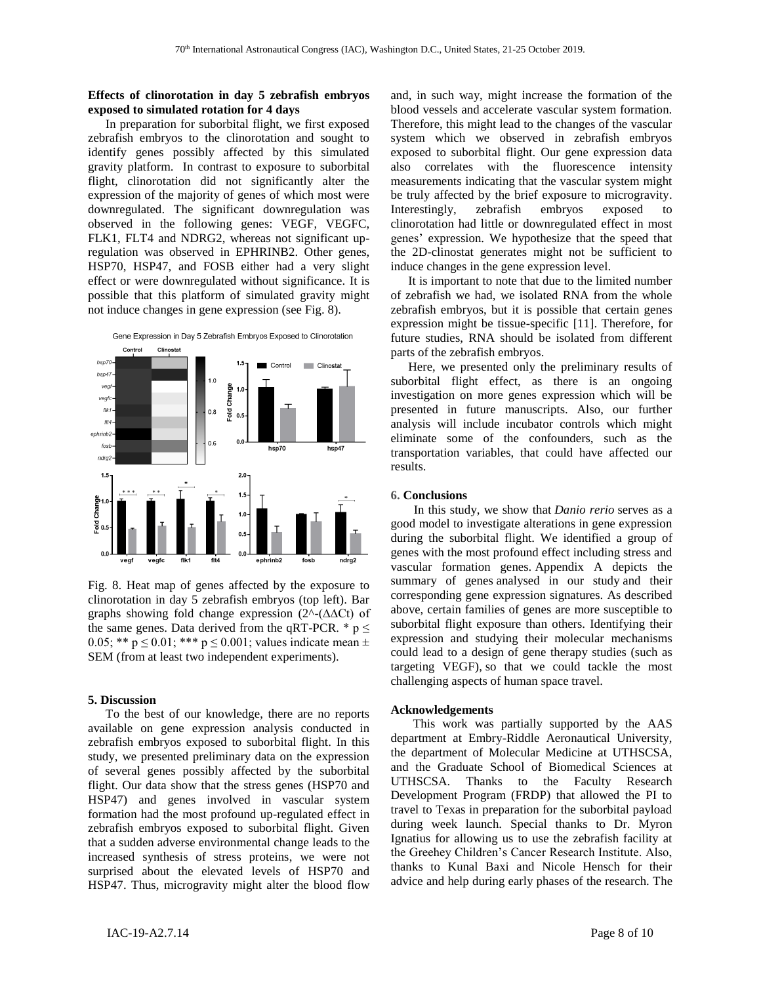## **Effects of clinorotation in day 5 zebrafish embryos exposed to simulated rotation for 4 days**

In preparation for suborbital flight, we first exposed zebrafish embryos to the clinorotation and sought to identify genes possibly affected by this simulated gravity platform. In contrast to exposure to suborbital flight, clinorotation did not significantly alter the expression of the majority of genes of which most were downregulated. The significant downregulation was observed in the following genes: VEGF, VEGFC, FLK1, FLT4 and NDRG2, whereas not significant upregulation was observed in EPHRINB2. Other genes, HSP70, HSP47, and FOSB either had a very slight effect or were downregulated without significance. It is possible that this platform of simulated gravity might not induce changes in gene expression (see Fig. 8).



Gene Expression in Day 5 Zebrafish Embryos Exposed to Clinorotation



Fig. 8. Heat map of genes affected by the exposure to clinorotation in day 5 zebrafish embryos (top left). Bar graphs showing fold change expression (2^-(∆∆Ct) of the same genes. Data derived from the qRT-PCR.  $* p \leq$ 0.05; \*\*  $p \le 0.01$ ; \*\*\*  $p \le 0.001$ ; values indicate mean  $\pm$ SEM (from at least two independent experiments).

#### **5. Discussion**

To the best of our knowledge, there are no reports available on gene expression analysis conducted in zebrafish embryos exposed to suborbital flight. In this study, we presented preliminary data on the expression of several genes possibly affected by the suborbital flight. Our data show that the stress genes (HSP70 and HSP47) and genes involved in vascular system formation had the most profound up-regulated effect in zebrafish embryos exposed to suborbital flight. Given that a sudden adverse environmental change leads to the increased synthesis of stress proteins, we were not surprised about the elevated levels of HSP70 and HSP47. Thus, microgravity might alter the blood flow

and, in such way, might increase the formation of the blood vessels and accelerate vascular system formation. Therefore, this might lead to the changes of the vascular system which we observed in zebrafish embryos exposed to suborbital flight. Our gene expression data also correlates with the fluorescence intensity measurements indicating that the vascular system might be truly affected by the brief exposure to microgravity. Interestingly, zebrafish embryos exposed to clinorotation had little or downregulated effect in most genes' expression. We hypothesize that the speed that the 2D-clinostat generates might not be sufficient to induce changes in the gene expression level.

It is important to note that due to the limited number of zebrafish we had, we isolated RNA from the whole zebrafish embryos, but it is possible that certain genes expression might be tissue-specific [11]. Therefore, for future studies, RNA should be isolated from different parts of the zebrafish embryos.

Here, we presented only the preliminary results of suborbital flight effect, as there is an ongoing investigation on more genes expression which will be presented in future manuscripts. Also, our further analysis will include incubator controls which might eliminate some of the confounders, such as the transportation variables, that could have affected our results.

#### **6. Conclusions**

 In this study, we show that *Danio rerio* serves as a good model to investigate alterations in gene expression during the suborbital flight. We identified a group of genes with the most profound effect including stress and vascular formation genes. Appendix A depicts the summary of genes analysed in our study and their corresponding gene expression signatures. As described above, certain families of genes are more susceptible to suborbital flight exposure than others. Identifying their expression and studying their molecular mechanisms could lead to a design of gene therapy studies (such as targeting VEGF), so that we could tackle the most challenging aspects of human space travel.

#### **Acknowledgements**

This work was partially supported by the AAS department at Embry-Riddle Aeronautical University, the department of Molecular Medicine at UTHSCSA, and the Graduate School of Biomedical Sciences at UTHSCSA. Thanks to the Faculty Research Development Program (FRDP) that allowed the PI to travel to Texas in preparation for the suborbital payload during week launch. Special thanks to Dr. Myron Ignatius for allowing us to use the zebrafish facility at the Greehey Children's Cancer Research Institute. Also, thanks to Kunal Baxi and Nicole Hensch for their advice and help during early phases of the research. The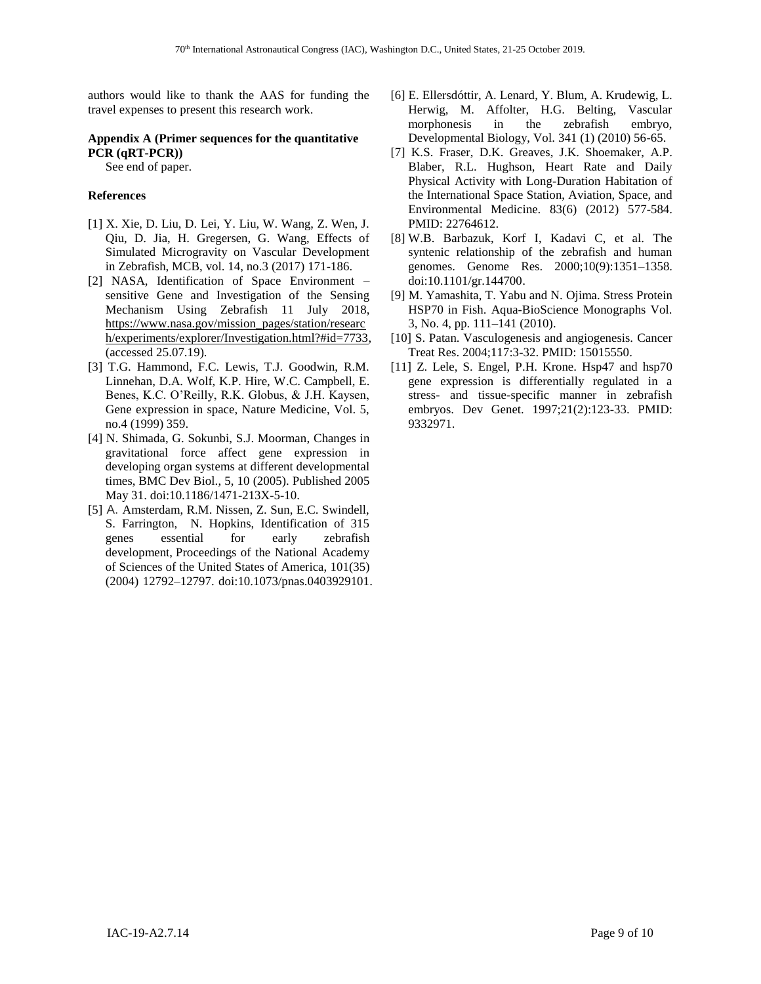authors would like to thank the AAS for funding the travel expenses to present this research work.

# **Appendix A (Primer sequences for the quantitative PCR (qRT-PCR))**

See end of paper.

## **References**

- [1] X. Xie, D. Liu, D. Lei, Y. Liu, W. Wang, Z. Wen, J. Qiu, D. Jia, H. Gregersen, G. Wang, Effects of Simulated Microgravity on Vascular Development in Zebrafish, MCB, vol. 14, no.3 (2017) 171-186.
- [2] NASA, Identification of Space Environment sensitive Gene and Investigation of the Sensing Mechanism Using Zebrafish 11 July 2018, [https://www.nasa.gov/mission\\_pages/station/researc](https://www.nasa.gov/mission_pages/station/research/experiments/explorer/Investigation.html?#id=7733) [h/experiments/explorer/Investigation.html?#id=7733,](https://www.nasa.gov/mission_pages/station/research/experiments/explorer/Investigation.html?#id=7733) (accessed 25.07.19).
- [3] T.G. Hammond, F.C. Lewis, T.J. Goodwin, R.M. Linnehan, D.A. Wolf, K.P. Hire, W.C. Campbell, E. Benes, K.C. O'Reilly, R.K. Globus, & J.H. Kaysen, Gene expression in space, Nature Medicine, Vol. 5, no.4 (1999) 359.
- [4] N. Shimada, G. Sokunbi, S.J. Moorman, Changes in gravitational force affect gene expression in developing organ systems at different developmental times, BMC Dev Biol., 5, 10 (2005). Published 2005 May 31. doi:10.1186/1471-213X-5-10.
- [5] A. Amsterdam, R.M. Nissen, Z. Sun, E.C. Swindell, S. Farrington, N. Hopkins, Identification of 315 genes essential for early zebrafish development, Proceedings of the National Academy of Sciences of the United States of America, 101(35) (2004) 12792–12797. doi:10.1073/pnas.0403929101.
- [6] E. Ellersdóttir, A. Lenard, Y. Blum, A. Krudewig, L. Herwig, M. Affolter, H.G. Belting, Vascular morphonesis in the zebrafish embryo, Developmental Biology, Vol. 341 (1) (2010) 56-65.
- [7] K.S. Fraser, D.K. Greaves, J.K. Shoemaker, A.P. Blaber, R.L. Hughson, Heart Rate and Daily Physical Activity with Long-Duration Habitation of the International Space Station, Aviation, Space, and Environmental Medicine. 83(6) (2012) 577-584. PMID: 22764612.
- [8] W.B. Barbazuk, Korf I, Kadavi C, et al. The syntenic relationship of the zebrafish and human genomes. Genome Res. 2000;10(9):1351–1358. doi:10.1101/gr.144700.
- [9] M. Yamashita, T. Yabu and N. Ojima. Stress Protein HSP70 in Fish. Aqua-BioScience Monographs Vol. 3, No. 4, pp. 111–141 (2010).
- [10] S. Patan. Vasculogenesis and angiogenesis. Cancer Treat Res. 2004;117:3-32. PMID: 15015550.
- [11] Z. Lele, S. Engel, P.H. Krone. Hsp47 and hsp70 gene expression is differentially regulated in a stress- and tissue-specific manner in zebrafish embryos. Dev Genet. 1997;21(2):123-33. PMID: 9332971.